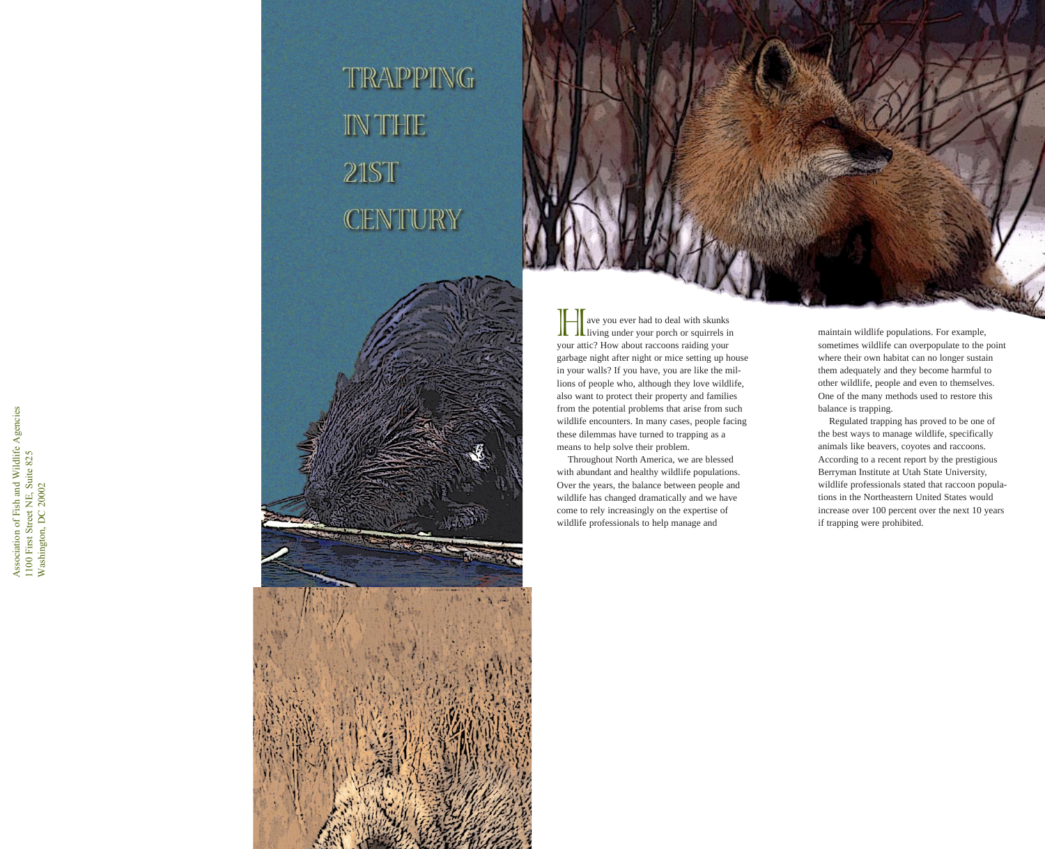**Have you ever had to deal with skunks**<br>living under your porch or squirrels in your attic? How about raccoons raiding your garbage night after night or mice setting up house in your walls? If you have, you are like the millions of people who, although they love wildlife, also want to protect their property and families from the potential problems that arise from such wildlife encounters. In many cases, people facing these dilemmas have turned to trapping as a means to help solve their problem.

Throughout North America, we are blessed with abundant and healthy wildlife populations. Over the years, the balance between people and wildlife has changed dramatically and we have come to rely increasingly on the expertise of wildlife professionals to help manage and

Association of Fish and Wildlife Agencies<br>1100 First Street NE, Suite 825<br>Washington, DC 20002 Association of Fish and Wildlife Agencies 1100 First Street NE, Suite 825 Washington, DC 20002

## TRAPPING IN THE **21ST CENTURY**





maintain wildlife populations. For example, sometimes wildlife can overpopulate to the point where their own habitat can no longer sustain them adequately and they become harmful to other wildlife, people and even to themselves. One of the many methods used to restore this balance is trapping.

Regulated trapping has proved to be one of the best ways to manage wildlife, specifically animals like beavers, coyotes and raccoons. According to a recent report by the prestigious Berryman Institute at Utah State University, wildlife professionals stated that raccoon populations in the Northeastern United States would increase over 100 percent over the next 10 years if trapping were prohibited.